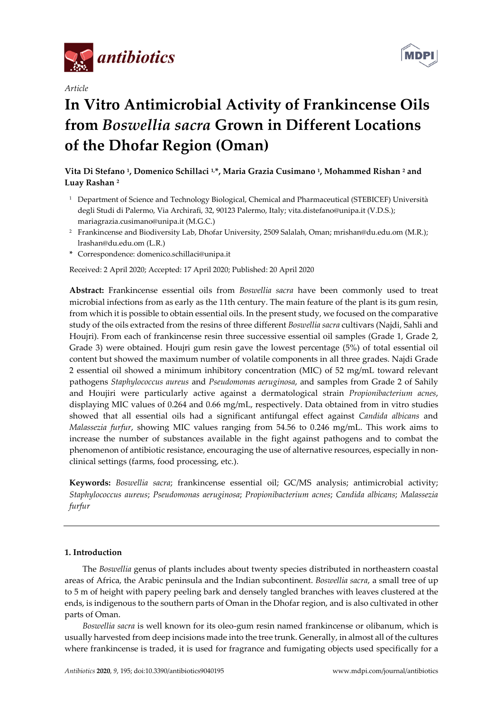

*Article*



# **In Vitro Antimicrobial Activity of Frankincense Oils from** *Boswellia sacra* **Grown in Different Locations of the Dhofar Region (Oman)**

**Vita Di Stefano 1, Domenico Schillaci 1, \*, Maria Grazia Cusimano 1, Mohammed Rishan 2 and Luay Rashan 2**

- <sup>1</sup> Department of Science and Technology Biological, Chemical and Pharmaceutical (STEBICEF) Università degli Studi di Palermo, Via Archirafi, 32, 90123 Palermo, Italy; vita.distefano@unipa.it (V.D.S.); mariagrazia.cusimano@unipa.it (M.G.C.)
- <sup>2</sup> Frankincense and Biodiversity Lab, Dhofar University, 2509 Salalah, Oman; mrishan@du.edu.om (M.R.); lrashan@du.edu.om (L.R.)
- **\*** Correspondence: domenico.schillaci@unipa.it

Received: 2 April 2020; Accepted: 17 April 2020; Published: 20 April 2020

**Abstract:** Frankincense essential oils from *Boswellia sacra* have been commonly used to treat microbial infections from as early as the 11th century. The main feature of the plant is its gum resin, from which it is possible to obtain essential oils. In the present study, we focused on the comparative study of the oils extracted from the resins of three different *Boswellia sacra* cultivars (Najdi, Sahli and Houjri). From each of frankincense resin three successive essential oil samples (Grade 1, Grade 2, Grade 3) were obtained. Houjri gum resin gave the lowest percentage (5%) of total essential oil content but showed the maximum number of volatile components in all three grades. Najdi Grade 2 essential oil showed a minimum inhibitory concentration (MIC) of 52 mg/mL toward relevant pathogens *Staphylococcus aureus* and *Pseudomonas aeruginosa*, and samples from Grade 2 of Sahily and Houjiri were particularly active against a dermatological strain *Propionibacterium acnes*, displaying MIC values of 0.264 and 0.66 mg/mL, respectively. Data obtained from in vitro studies showed that all essential oils had a significant antifungal effect against *Candida albicans* and *Malassezia furfur*, showing MIC values ranging from 54.56 to 0.246 mg/mL. This work aims to increase the number of substances available in the fight against pathogens and to combat the phenomenon of antibiotic resistance, encouraging the use of alternative resources, especially in nonclinical settings (farms, food processing, etc.).

**Keywords:** *Boswellia sacra*; frankincense essential oil; GC/MS analysis; antimicrobial activity; *Staphylococcus aureus*; *Pseudomonas aeruginosa*; *Propionibacterium acnes*; *Candida albicans*; *Malassezia furfur*

# **1. Introduction**

The *Boswellia* genus of plants includes about twenty species distributed in northeastern coastal areas of Africa, the Arabic peninsula and the Indian subcontinent. *Boswellia sacra*, a small tree of up to 5 m of height with papery peeling bark and densely tangled branches with leaves clustered at the ends, is indigenous to the southern parts of Oman in the Dhofar region, and is also cultivated in other parts of Oman.

*Boswellia sacra* is well known for its oleo-gum resin named frankincense or olibanum, which is usually harvested from deep incisions made into the tree trunk. Generally, in almost all of the cultures where frankincense is traded, it is used for fragrance and fumigating objects used specifically for a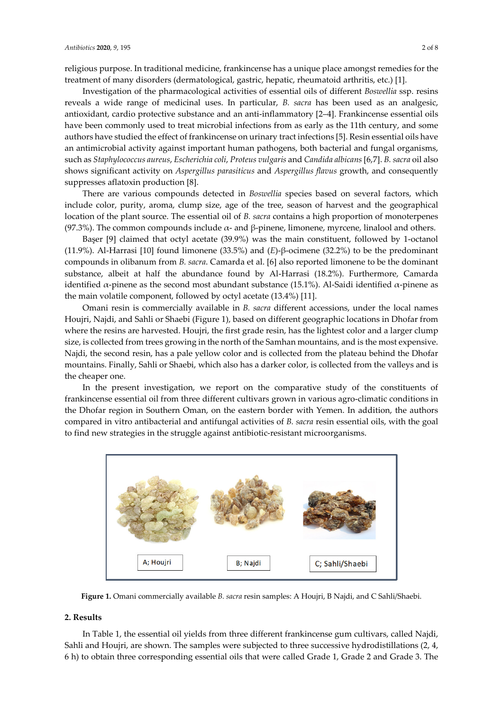religious purpose. In traditional medicine, frankincense has a unique place amongst remedies for the treatment of many disorders (dermatological, gastric, hepatic, rheumatoid arthritis, etc.) [1].

Investigation of the pharmacological activities of essential oils of different *Boswellia* ssp. resins reveals a wide range of medicinal uses. In particular, *B. sacra* has been used as an analgesic, antioxidant, cardio protective substance and an anti-inflammatory [2–4]. Frankincense essential oils have been commonly used to treat microbial infections from as early as the 11th century, and some authors have studied the effect of frankincense on urinary tract infections [5]. Resin essential oils have an antimicrobial activity against important human pathogens, both bacterial and fungal organisms, such as *Staphylococcus aureus*, *Escherichia coli*, *Proteus vulgaris* and *Candida albicans* [6,7]. *B. sacra* oil also shows significant activity on *Aspergillus parasiticus* and *Aspergillus flavus* growth, and consequently suppresses aflatoxin production [8].

There are various compounds detected in *Boswellia* species based on several factors, which include color, purity, aroma, clump size, age of the tree, season of harvest and the geographical location of the plant source. The essential oil of *B. sacra* contains a high proportion of monoterpenes (97.3%). The common compounds include  $\alpha$ - and β-pinene, limonene, myrcene, linalool and others.

Başer [9] claimed that octyl acetate (39.9%) was the main constituent, followed by 1-octanol (11.9%). Al-Harrasi [10] found limonene (33.5%) and (*E*)-β-ocimene (32.2%) to be the predominant compounds in olibanum from *B. sacra*. Camarda et al. [6] also reported limonene to be the dominant substance, albeit at half the abundance found by Al-Harrasi (18.2%). Furthermore, Camarda identified  $α$ -pinene as the second most abundant substance (15.1%). Al-Saidi identified  $α$ -pinene as the main volatile component, followed by octyl acetate (13.4%) [11].

Omani resin is commercially available in *B. sacra* different accessions, under the local names Houjri, Najdi, and Sahli or Shaebi (Figure 1), based on different geographic locations in Dhofar from where the resins are harvested. Houjri, the first grade resin, has the lightest color and a larger clump size, is collected from trees growing in the north of the Samhan mountains, and is the most expensive. Najdi, the second resin, has a pale yellow color and is collected from the plateau behind the Dhofar mountains. Finally, Sahli or Shaebi, which also has a darker color, is collected from the valleys and is the cheaper one.

In the present investigation, we report on the comparative study of the constituents of frankincense essential oil from three different cultivars grown in various agro-climatic conditions in the Dhofar region in Southern Oman, on the eastern border with Yemen. In addition, the authors compared in vitro antibacterial and antifungal activities of *B. sacra* resin essential oils, with the goal to find new strategies in the struggle against antibiotic-resistant microorganisms.



**Figure 1.** Omani commercially available *B. sacra* resin samples: A Houjri, B Najdi, and C Sahli/Shaebi.

#### **2. Results**

In Table 1, the essential oil yields from three different frankincense gum cultivars, called Najdi, Sahli and Houjri, are shown. The samples were subjected to three successive hydrodistillations (2, 4, 6 h) to obtain three corresponding essential oils that were called Grade 1, Grade 2 and Grade 3. The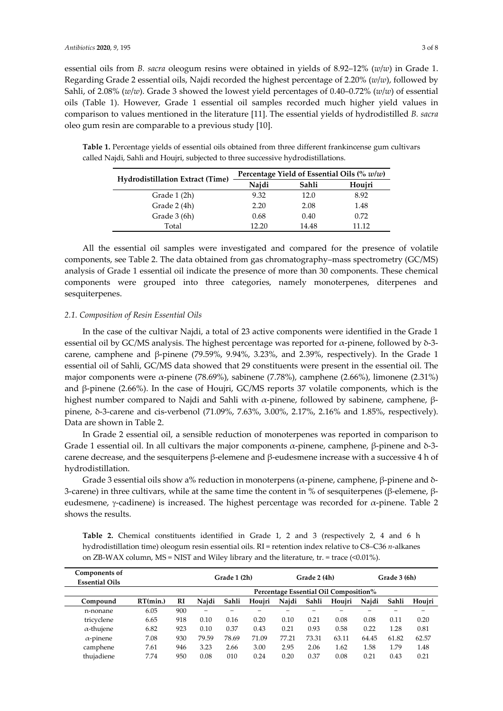essential oils from *B. sacra* oleogum resins were obtained in yields of 8.92–12% (*w*/*w*) in Grade 1. Regarding Grade 2 essential oils, Najdi recorded the highest percentage of 2.20% (*w*/*w*), followed by Sahli, of 2.08% (*w*/*w*). Grade 3 showed the lowest yield percentages of 0.40–0.72% (*w*/*w*) of essential oils (Table 1). However, Grade 1 essential oil samples recorded much higher yield values in comparison to values mentioned in the literature [11]. The essential yields of hydrodistilled *B. sacra* oleo gum resin are comparable to a previous study [10].

**Table 1.** Percentage yields of essential oils obtained from three different frankincense gum cultivars called Najdi, Sahli and Houjri, subjected to three successive hydrodistillations.

|                                         | Percentage Yield of Essential Oils $\left(\% w/w\right)$ |       |        |  |  |  |
|-----------------------------------------|----------------------------------------------------------|-------|--------|--|--|--|
| <b>Hydrodistillation Extract (Time)</b> | Najdi                                                    | Sahli | Houjri |  |  |  |
| Grade 1 (2h)                            | 9.32                                                     | 12.0  | 8.92   |  |  |  |
| Grade 2 (4h)                            | 2.20                                                     | 2.08  | 1.48   |  |  |  |
| Grade 3 (6h)                            | 0.68                                                     | 0.40  | 0.72   |  |  |  |
| Total                                   | 12 20                                                    | 14.48 | 11 12  |  |  |  |

All the essential oil samples were investigated and compared for the presence of volatile components, see Table 2. The data obtained from gas chromatography–mass spectrometry (GC/MS) analysis of Grade 1 essential oil indicate the presence of more than 30 components. These chemical components were grouped into three categories, namely monoterpenes, diterpenes and sesquiterpenes.

## *2.1. Composition of Resin Essential Oils*

In the case of the cultivar Najdi, a total of 23 active components were identified in the Grade 1 essential oil by GC/MS analysis. The highest percentage was reported for α-pinene, followed by δ-3 carene, camphene and β-pinene (79.59%, 9.94%, 3.23%, and 2.39%, respectively). In the Grade 1 essential oil of Sahli, GC/MS data showed that 29 constituents were present in the essential oil. The major components were α-pinene (78.69%), sabinene (7.78%), camphene (2.66%), limonene (2.31%) and β-pinene (2.66%). In the case of Houjri, GC/MS reports 37 volatile components, which is the highest number compared to Najdi and Sahli with α-pinene, followed by sabinene, camphene,  $β$ pinene, δ-3-carene and cis-verbenol (71.09%, 7.63%, 3.00%, 2.17%, 2.16% and 1.85%, respectively). Data are shown in Table 2.

In Grade 2 essential oil, a sensible reduction of monoterpenes was reported in comparison to Grade 1 essential oil. In all cultivars the major components  $\alpha$ -pinene, camphene, β-pinene and δ-3carene decrease, and the sesquiterpens β-elemene and β-eudesmene increase with a successive 4 h of hydrodistillation.

Grade 3 essential oils show a% reduction in monoterpens ( $\alpha$ -pinene, camphene, β-pinene and δ-3-carene) in three cultivars, while at the same time the content in % of sesquiterpenes (β-elemene, βeudesmene,  $γ$ -cadinene) is increased. The highest percentage was recorded for  $α$ -pinene. Table 2 shows the results.

**Table 2.** Chemical constituents identified in Grade 1, 2 and 3 (respectively 2, 4 and 6 h hydrodistillation time) oleogum resin essential oils. RI = retention index relative to C8–C36 *n*-alkanes on ZB-WAX column,  $MS = NIST$  and Wiley library and the literature, tr. = trace (<0.01%).

| Components of<br><b>Essential Oils</b> |          |     | Grade 1 (2h)                          |       |        | Grade 2 (4h) |       |        | Grade 3 (6h) |       |        |
|----------------------------------------|----------|-----|---------------------------------------|-------|--------|--------------|-------|--------|--------------|-------|--------|
|                                        |          |     | Percentage Essential Oil Composition% |       |        |              |       |        |              |       |        |
| Compound                               | RT(min.) | RI  | Naidi                                 | Sahli | Houiri | Najdi        | Sahli | Houiri | Najdi        | Sahli | Houiri |
| n-nonane                               | 6.05     | 900 | $\overline{\phantom{m}}$              |       |        |              |       |        |              |       |        |
| tricyclene                             | 6.65     | 918 | 0.10                                  | 0.16  | 0.20   | 0.10         | 0.21  | 0.08   | 0.08         | 0.11  | 0.20   |
| $\alpha$ -thujene                      | 6.82     | 923 | 0.10                                  | 0.37  | 0.43   | 0.21         | 0.93  | 0.58   | 0.22         | 1.28  | 0.81   |
| $\alpha$ -pinene                       | 7.08     | 930 | 79.59                                 | 78.69 | 71.09  | 77.21        | 73.31 | 63.11  | 64.45        | 61.82 | 62.57  |
| camphene                               | 7.61     | 946 | 3.23                                  | 2.66  | 3.00   | 2.95         | 2.06  | 1.62   | 1.58         | 1.79  | 1.48   |
| thuiadiene                             | 7.74     | 950 | 0.08                                  | 010   | 0.24   | 0.20         | 0.37  | 0.08   | 0.21         | 0.43  | 0.21   |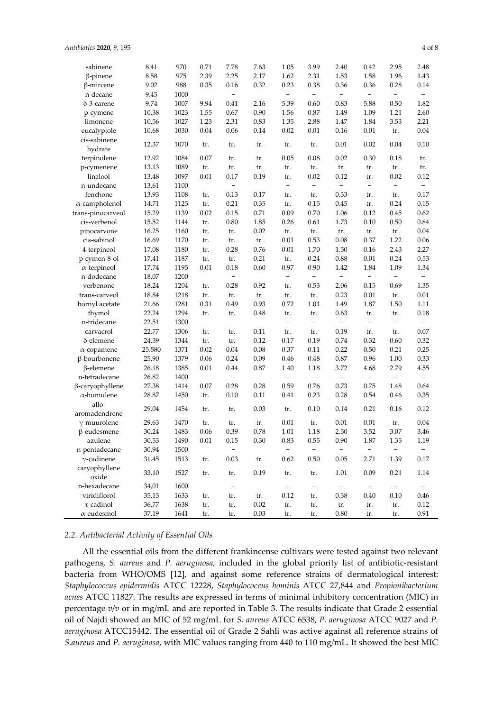| sabinene                | 8.41   | 970  | 0.71 | 7.78                     | 7.63        | 1.05                     | 3.99                            | 2.40                             | 0.42                     | 2.95                     | 2.48                             |
|-------------------------|--------|------|------|--------------------------|-------------|--------------------------|---------------------------------|----------------------------------|--------------------------|--------------------------|----------------------------------|
| $\beta$ -pinene         | 8.58   | 975  | 2.39 | 2.25                     | 2.17        | 1.62                     | 2.31                            | 1.53                             | 1.58                     | 1.96                     | 1.43                             |
| β-mircene               | 9.02   | 988  | 0.35 | 0.16                     | 0.32        | 0.23                     | 0.38                            | 0.36                             | 0.36                     | 0.28                     | 0.14                             |
| n-decane                | 9.45   | 1000 |      | $\overline{a}$           |             | $\equiv$                 | $\overline{a}$                  | $\overline{\phantom{0}}$         | $\equiv$                 | $\overline{\phantom{a}}$ | $-$                              |
| δ-3-carene              | 9.74   | 1007 | 9.94 | 0.41                     | 2.16        | 5.39                     | 0.60                            | 0.83                             | 5.88                     | 0.50                     | 1.82                             |
| p-cymene                | 10.38  | 1023 | 1.55 | 0.67                     | 0.90        | 1.56                     | 0.87                            | 1.49                             | 1.09                     | 1.21                     | 2.60                             |
| limonene                | 10.56  | 1027 | 1.23 | 2.31                     | 0.83        | 1.35                     | 2.88                            | 1.47                             | 1.84                     | 3.53                     | 2.21                             |
| eucalyptole             | 10.68  | 1030 | 0.04 | 0.06                     | 0.14        | 0.02                     | 0.01                            | 0.16                             | 0.01                     | tr.                      | 0.04                             |
| cis-sabinene<br>hydrate | 12.37  | 1070 | tr.  | tr.                      | tr.         | tr.                      | tr.                             | 0.01                             | 0.02                     | 0.04                     | 0.10                             |
| terpinolene             | 12.92  | 1084 | 0.07 | tr.                      | tr.         | 0.05                     | 0.08                            | 0.02                             | 0.30                     | 0.18                     | tr.                              |
| p-cymenene              | 13.13  | 1089 | tr.  | tr.                      | tr.         | tr.                      | tr.                             | tr.                              | tr.                      | tr.                      | tr.                              |
| linalool                | 13.48  | 1097 | 0.01 | 0.17                     | 0.19        | tr.                      | 0.02                            | 0.12                             | tr.                      | 0.02                     | 0.12                             |
| n-undecane              | 13.61  | 1100 |      | $\overline{a}$           |             | $\overline{\phantom{0}}$ | $\overline{a}$                  | $\overline{\phantom{0}}$         | $\qquad \qquad -$        | $\qquad \qquad -$        | $\overline{\phantom{0}}$         |
| fenchone                | 13.93  | 1108 | tr.  | 0.13                     | 0.17        | tr.                      | tr.                             | 0.33                             | tr.                      | tr.                      | 0.17                             |
| $\alpha$ -campholenol   | 14.71  | 1125 | tr.  | 0.21                     | 0.35        | tr.                      | 0.15                            | 0.45                             | tr.                      | 0.24                     | 0.15                             |
| trans-pinocarveol       | 15.29  | 1139 | 0.02 | 0.15                     | 0.71        | 0.09                     | 0.70                            | 1.06                             | 0.12                     | 0.45                     | 0.62                             |
| cis-verbenol            | 15.52  | 1144 | tr.  | $0.80\,$                 | 1.85        | 0.26                     | 0.61                            | 1.73                             | 0.10                     | 0.50                     | 0.84                             |
| pinocarvone             | 16.25  | 1160 | tr.  | tr.                      | 0.02        | tr.                      | tr.                             | tr.                              | tr.                      | tr.                      | 0.04                             |
| cis-sabinol             | 16.69  | 1170 | tr.  | tr.                      | tr.         | 0.01                     | 0.53                            | 0.08                             | 0.37                     | 1.22                     | 0.06                             |
| 4-terpineol             | 17.08  | 1180 | tr.  | 0.28                     | 0.76        | 0.01                     | 1.70                            | 1.50                             | 0.16                     | 2.43                     | 2.27                             |
| p-cymen-8-ol            | 17.41  | 1187 | tr.  | tr.                      | 0.21        | tr.                      | 0.24                            | 0.88                             | 0.01                     | 0.24                     | 0.53                             |
| $\alpha$ -terpineol     | 17.74  | 1195 | 0.01 | 0.18                     | 0.60        | 0.97                     | 0.90                            | 1.42                             | 1.84                     | 1.09                     | 1.34                             |
| n-dodecane              | 18.07  | 1200 |      | $\overline{a}$           |             | $\bar{ }$                | $\qquad \qquad -$               | $\overline{a}$                   | $\qquad \qquad -$        | $\overline{\phantom{a}}$ | $\overline{a}$                   |
| verbenone               | 18.24  | 1204 | tr.  | 0.28                     | 0.92        | tr.                      | 0.53                            | 2.06                             | 0.15                     | 0.69                     | 1.35                             |
|                         | 18.84  | 1218 |      |                          |             |                          |                                 | 0.23                             | 0.01                     |                          | 0.01                             |
| trans-carveol           |        | 1281 | tr.  | tr.<br>0.49              | tr.<br>0.93 | tr.<br>0.72              | tr.                             | 1.49                             | 1.87                     | tr.<br>1.50              |                                  |
| bornyl acetate          | 21.66  |      | 0.31 |                          |             |                          | 1.01                            |                                  |                          |                          | 1.11                             |
| thymol                  | 22.24  | 1294 | tr.  | tr.                      | 0.48        | tr.<br>$\qquad \qquad -$ | tr.<br>$\overline{\phantom{0}}$ | 0.63<br>$\overline{\phantom{0}}$ | tr.<br>$\qquad \qquad -$ | tr.<br>$\qquad \qquad -$ | 0.18<br>$\overline{\phantom{0}}$ |
| n-tridecane             | 22.51  | 1300 |      |                          |             |                          |                                 |                                  |                          |                          |                                  |
| carvacrol               | 22.77  | 1306 | tr.  | tr.                      | 0.11        | tr.                      | tr.                             | 0.19                             | tr.                      | tr.                      | 0.07                             |
| δ-elemene               | 24.39  | 1344 | tr.  | tr.                      | 0.12        | 0.17                     | 0.19                            | $0.74\,$                         | 0.32                     | 0.60                     | 0.32                             |
| $\alpha$ -copamene      | 25.580 | 1371 | 0.02 | $0.04\,$                 | 0.08        | 0.37                     | 0.11                            | 0.22                             | 0.50                     | 0.21                     | 0.25                             |
| β-bourbonene            | 25.90  | 1379 | 0.06 | 0.24                     | 0.09        | 0.46                     | 0.48                            | 0.87                             | 0.96                     | $1.00\,$                 | 0.33                             |
| $\beta$ -elemene        | 26.18  | 1385 | 0.01 | 0.44                     | 0.87        | 1.40                     | 1.18                            | 3.72                             | 4.68                     | 2.79                     | 4.55                             |
| n-tetradecane           | 26.82  | 1400 |      | $\overline{\phantom{0}}$ |             | $\overline{\phantom{0}}$ | $\overline{\phantom{0}}$        | $\overline{\phantom{0}}$         | $\qquad \qquad -$        | $\overline{\phantom{a}}$ | $-$                              |
| β-caryophyllene         | 27.38  | 1414 | 0.07 | 0.28                     | 0.28        | 0.59                     | 0.76                            | 0.73                             | 0.75                     | 1.48                     | 0.64                             |
| $\alpha$ -humulene      | 28.87  | 1450 | tr.  | 0.10                     | 0.11        | 0.41                     | 0.23                            | 0.28                             | 0.54                     | 0.46                     | 0.35                             |
| allo-                   | 29.04  | 1454 | tr.  | tr.                      | 0.03        | tr.                      | 0.10                            | 0.14                             | 0.21                     | 0.16                     | 0.12                             |
| aromadendrene           |        |      |      |                          |             |                          |                                 |                                  |                          |                          |                                  |
| $\gamma$ -muurolene     | 29.63  | 1470 | tr.  | tr.                      | tr.         | 0.01                     | tr.                             | 0.01                             | 0.01                     | tr.                      | 0.04                             |
| $\beta$ -eudesmene      | 30.24  | 1483 | 0.06 | 0.39                     | 0.78        | 1.01                     | 1.18                            | 2.50                             | 3.52                     | 3.07                     | 3.46                             |
| azulene                 | 30.53  | 1490 | 0.01 | 0.15                     | 0.30        | 0.83                     | 0.55                            | 0.90                             | 1.87                     | 1.35                     | 1.19                             |
| n-pentadecane           | 30.94  | 1500 |      | $\overline{a}$           |             |                          |                                 | $\qquad \qquad -$                | $\qquad \qquad -$        |                          |                                  |
| $\gamma$ -cadinene      | 31.45  | 1513 | tr.  | 0.03                     | tr.         | 0.62                     | 0.50                            | 0.05                             | 2.71                     | 1.39                     | $0.17\,$                         |
| caryophyllene<br>oxide  | 33,10  | 1527 | tr.  | tr.                      | 0.19        | tr.                      | tr.                             | 1.01                             | 0.09                     | 0.21                     | 1.14                             |
| n-hexadecane            | 34,01  | 1600 |      | $\overline{\phantom{a}}$ |             | $\overline{\phantom{0}}$ | $\overline{\phantom{0}}$        | $\overline{\phantom{a}}$         | $\overline{\phantom{a}}$ | $\overline{\phantom{a}}$ | $\overline{\phantom{0}}$         |
| viridiflorol            | 35,15  | 1633 | tr.  | tr.                      | tr.         | 0.12                     | tr.                             | 0.38                             | 0.40                     | 0.10                     | 0.46                             |
| τ-cadinol               | 36,77  | 1638 | tr.  | tr.                      | 0.02        | tr.                      | tr.                             | tr.                              | tr.                      | tr.                      | 0.12                             |
| $\alpha$ -eudesmol      | 37,19  | 1641 | tr.  | tr.                      | 0.03        | tr.                      | tr.                             | $0.80\,$                         | tr.                      | tr.                      | 0.91                             |

## *2.2. Antibacterial Activity of Essential Oils*

All the essential oils from the different frankincense cultivars were tested against two relevant pathogens, *S. aureus* and *P. aeruginosa*, included in the global priority list of antibiotic-resistant bacteria from WHO/OMS [12], and against some reference strains of dermatological interest: *Staphylococcus epidermidis* ATCC 12228, *Staphylococcus hominis* ATCC 27,844 and *Propionibacterium acnes* ATCC 11827. The results are expressed in terms of minimal inhibitory concentration (MIC) in percentage *v*/*v* or in mg/mL and are reported in Table 3. The results indicate that Grade 2 essential oil of Najdi showed an MIC of 52 mg/mL for *S. aureus* ATCC 6538, *P. aeruginosa* ATCC 9027 and *P. aeruginosa* ATCC15442. The essential oil of Grade 2 Sahli was active against all reference strains of *S.aureus* and *P. aeruginosa*, with MIC values ranging from 440 to 110 mg/mL. It showed the best MIC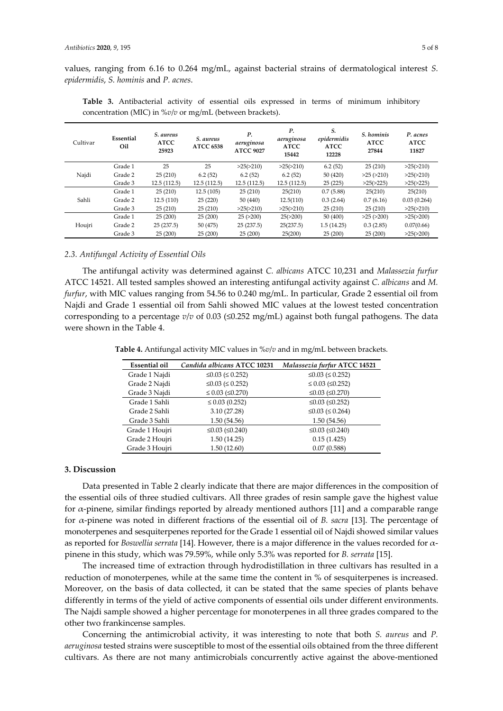values, ranging from 6.16 to 0.264 mg/mL, against bacterial strains of dermatological interest *S. epidermidis*, *S. hominis* and *P. acnes*.

| Cultivar | Essential<br>Oil | S. aureus<br><b>ATCC</b><br>25923 | S. aureus<br><b>ATCC 6538</b> | Р.<br>aeruginosa<br><b>ATCC 9027</b> | Р.<br>aeruginosa<br><b>ATCC</b><br>15442 | S.<br>epidermidis<br><b>ATCC</b><br>12228 | S. hominis<br><b>ATCC</b><br>27844 | P. acnes<br><b>ATCC</b><br>11827 |
|----------|------------------|-----------------------------------|-------------------------------|--------------------------------------|------------------------------------------|-------------------------------------------|------------------------------------|----------------------------------|
|          | Grade 1          | 25                                | 25                            | >25(>210)                            | >25(>210)                                | 6.2(52)                                   | 25(210)                            | >25(>210)                        |
| Najdi    | Grade 2          | 25(210)                           | 6.2(52)                       | 6.2(52)                              | 6.2(52)                                  | 50 (420)                                  | $>25$ ( $>210$ )                   | >25(>210)                        |
|          | Grade 3          | 12.5(112.5)                       | 12.5(112.5)                   | 12.5(112.5)                          | 12.5(112.5)                              | 25(225)                                   | >25(>225)                          | >25(>225)                        |
|          | Grade 1          | 25(210)                           | 12.5(105)                     | 25(210)                              | 25(210)                                  | 0.7(5.88)                                 | 25(210)                            | 25(210)                          |
| Sahli    | Grade 2          | 12.5(110)                         | 25(220)                       | 50(440)                              | 12.5(110)                                | 0.3(2.64)                                 | 0.7(6.16)                          | 0.03(0.264)                      |
|          | Grade 3          | 25(210)                           | 25(210)                       | >25(>210)                            | >25(>210)                                | 25(210)                                   | 25(210)                            | >25(>210)                        |
|          | Grade 1          | 25(200)                           | 25(200)                       | 25(>200)                             | 25(>200)                                 | 50 (400)                                  | $>25$ ( $>200$ )                   | >25(>200)                        |
| Houjri   | Grade 2          | 25(237.5)                         | 50 (475)                      | 25(237.5)                            | 25(237.5)                                | 1.5(14.25)                                | 0.3(2.85)                          | 0.07(0.66)                       |
|          | Grade 3          | 25(200)                           | 25(200)                       | 25(200)                              | 25(200)                                  | 25(200)                                   | 25(200)                            | >25(>200)                        |

**Table 3.** Antibacterial activity of essential oils expressed in terms of minimum inhibitory concentration (MIC) in %*v*/*v* or mg/mL (between brackets).

## *2.3. Antifungal Activity of Essential Oils*

The antifungal activity was determined against *C. albicans* ATCC 10,231 and *Malassezia furfur* ATCC 14521. All tested samples showed an interesting antifungal activity against *C. albicans* and *M. furfur*, with MIC values ranging from 54.56 to 0.240 mg/mL. In particular, Grade 2 essential oil from Najdi and Grade 1 essential oil from Sahli showed MIC values at the lowest tested concentration corresponding to a percentage *v*/*v* of 0.03 (≤0.252 mg/mL) against both fungal pathogens. The data were shown in the Table 4.

**Table 4.** Antifungal activity MIC values in %*v*/*v* and in mg/mL between brackets.

| <b>Essential oil</b> | Candida albicans ATCC 10231  | Malassezia furfur ATCC 14521 |
|----------------------|------------------------------|------------------------------|
| Grade 1 Najdi        | $≤0.03$ (≤ 0.252)            | $≤0.03$ (≤ 0.252)            |
| Grade 2 Najdi        | $\leq 0.03$ ( $\leq 0.252$ ) | $\leq$ 0.03 ( $\leq$ 0.252)  |
| Grade 3 Najdi        | $\leq$ 0.03 ( $\leq$ 0.270)  | $≤0.03$ (≤0.270)             |
| Grade 1 Sahli        | $\leq$ 0.03 (0.252)          | $≤0.03$ (≤0.252)             |
| Grade 2 Sahli        | 3.10(27.28)                  | $\leq 0.03$ ( $\leq 0.264$ ) |
| Grade 3 Sahli        | 1.50(54.56)                  | 1.50(54.56)                  |
| Grade 1 Houjri       | $≤0.03$ (≤0.240)             | $≤0.03$ (≤0.240)             |
| Grade 2 Houjri       | 1.50(14.25)                  | 0.15(1.425)                  |
| Grade 3 Houjri       | 1.50(12.60)                  | 0.07(0.588)                  |

#### **3. Discussion**

Data presented in Table 2 clearly indicate that there are major differences in the composition of the essential oils of three studied cultivars. All three grades of resin sample gave the highest value for α-pinene, similar findings reported by already mentioned authors [11] and a comparable range for α-pinene was noted in different fractions of the essential oil of *B. sacra* [13]. The percentage of monoterpenes and sesquiterpenes reported for the Grade 1 essential oil of Najdi showed similar values as reported for *Boswellia serrata* [14]. However, there is a major difference in the values recorded for αpinene in this study, which was 79.59%, while only 5.3% was reported for *B. serrata* [15].

The increased time of extraction through hydrodistillation in three cultivars has resulted in a reduction of monoterpenes, while at the same time the content in % of sesquiterpenes is increased. Moreover, on the basis of data collected, it can be stated that the same species of plants behave differently in terms of the yield of active components of essential oils under different environments. The Najdi sample showed a higher percentage for monoterpenes in all three grades compared to the other two frankincense samples.

Concerning the antimicrobial activity, it was interesting to note that both *S. aureus* and *P. aeruginosa* tested strains were susceptible to most of the essential oils obtained from the three different cultivars. As there are not many antimicrobials concurrently active against the above-mentioned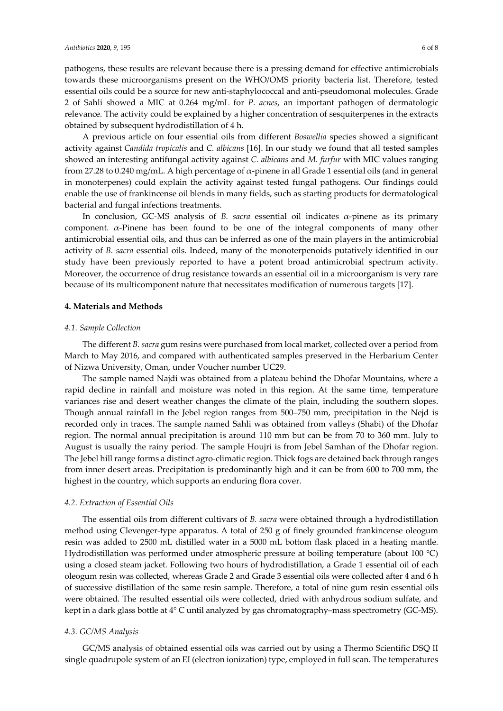pathogens, these results are relevant because there is a pressing demand for effective antimicrobials towards these microorganisms present on the WHO/OMS priority bacteria list. Therefore, tested essential oils could be a source for new anti-staphylococcal and anti-pseudomonal molecules. Grade 2 of Sahli showed a MIC at 0.264 mg/mL for *P. acnes*, an important pathogen of dermatologic relevance. The activity could be explained by a higher concentration of sesquiterpenes in the extracts obtained by subsequent hydrodistillation of 4 h.

A previous article on four essential oils from different *Boswellia* species showed a significant activity against *Candida tropicalis* and *C. albicans* [16]. In our study we found that all tested samples showed an interesting antifungal activity against *C. albicans* and *M. furfur* with MIC values ranging from 27.28 to 0.240 mg/mL. A high percentage of  $\alpha$ -pinene in all Grade 1 essential oils (and in general in monoterpenes) could explain the activity against tested fungal pathogens. Our findings could enable the use of frankincense oil blends in many fields, such as starting products for dermatological bacterial and fungal infections treatments.

In conclusion, GC-MS analysis of *B. sacra* essential oil indicates  $\alpha$ -pinene as its primary component. α-Pinene has been found to be one of the integral components of many other antimicrobial essential oils, and thus can be inferred as one of the main players in the antimicrobial activity of *B. sacra* essential oils. Indeed, many of the monoterpenoids putatively identified in our study have been previously reported to have a potent broad antimicrobial spectrum activity. Moreover, the occurrence of drug resistance towards an essential oil in a microorganism is very rare because of its multicomponent nature that necessitates modification of numerous targets [17].

#### **4. Materials and Methods**

# *4.1. Sample Collection*

The different *B. sacra* gum resins were purchased from local market, collected over a period from March to May 2016, and compared with authenticated samples preserved in the Herbarium Center of Nizwa University, Oman, under Voucher number UC29.

The sample named Najdi was obtained from a plateau behind the Dhofar Mountains, where a rapid decline in rainfall and moisture was noted in this region. At the same time, temperature variances rise and desert weather changes the climate of the plain, including the southern slopes. Though annual rainfall in the Jebel region ranges from 500–750 mm, precipitation in the Nejd is recorded only in traces. The sample named Sahli was obtained from valleys (Shabi) of the Dhofar region. The normal annual precipitation is around 110 mm but can be from 70 to 360 mm. July to August is usually the rainy period. The sample Houjri is from Jebel Samhan of the Dhofar region. The Jebel hill range forms a distinct agro-climatic region. Thick fogs are detained back through ranges from inner desert areas. Precipitation is predominantly high and it can be from 600 to 700 mm, the highest in the country, which supports an enduring flora cover.

# *4.2. Extraction of Essential Oils*

The essential oils from different cultivars of *B. sacra* were obtained through a hydrodistillation method using Clevenger-type apparatus. A total of 250 g of finely grounded frankincense oleogum resin was added to 2500 mL distilled water in a 5000 mL bottom flask placed in a heating mantle. Hydrodistillation was performed under atmospheric pressure at boiling temperature (about 100 °C) using a closed steam jacket. Following two hours of hydrodistillation, a Grade 1 essential oil of each oleogum resin was collected, whereas Grade 2 and Grade 3 essential oils were collected after 4 and 6 h of successive distillation of the same resin sample*.* Therefore, a total of nine gum resin essential oils were obtained. The resulted essential oils were collected, dried with anhydrous sodium sulfate, and kept in a dark glass bottle at 4° C until analyzed by gas chromatography–mass spectrometry (GC-MS).

## *4.3. GC/MS Analysis*

GC/MS analysis of obtained essential oils was carried out by using a Thermo Scientific DSQ II single quadrupole system of an EI (electron ionization) type, employed in full scan. The temperatures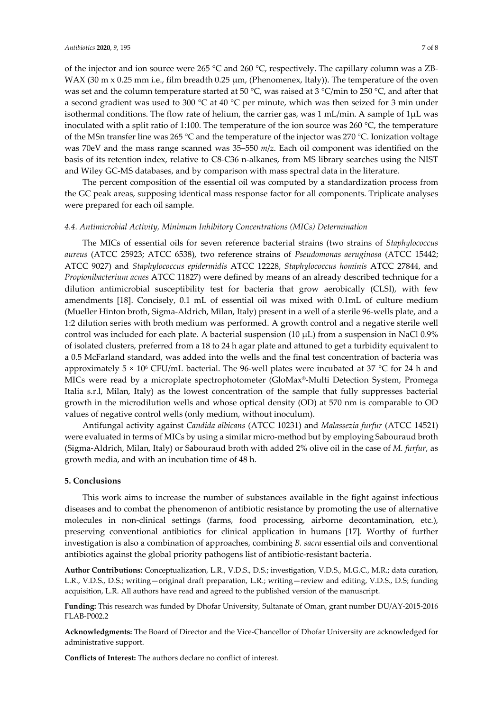of the injector and ion source were 265 °C and 260 °C, respectively. The capillary column was a ZB-WAX (30 m  $\times$  0.25 mm i.e., film breadth 0.25 µm, (Phenomenex, Italy)). The temperature of the oven was set and the column temperature started at 50 °C, was raised at 3 °C/min to 250 °C, and after that a second gradient was used to 300 °C at 40 °C per minute, which was then seized for 3 min under isothermal conditions. The flow rate of helium, the carrier gas, was 1 mL/min. A sample of 1μL was inoculated with a split ratio of 1:100. The temperature of the ion source was 260 °C, the temperature of the MSn transfer line was 265 °C and the temperature of the injector was 270 °C. Ionization voltage was 70eV and the mass range scanned was 35–550 *m*/*z*. Each oil component was identified on the basis of its retention index, relative to C8-C36 n-alkanes, from MS library searches using the NIST and Wiley GC-MS databases, and by comparison with mass spectral data in the literature.

The percent composition of the essential oil was computed by a standardization process from the GC peak areas, supposing identical mass response factor for all components. Triplicate analyses were prepared for each oil sample.

#### *4.4. Antimicrobial Activity, Minimum Inhibitory Concentrations (MICs) Determination*

The MICs of essential oils for seven reference bacterial strains (two strains of *Staphylococcus aureus* (ATCC 25923; ATCC 6538), two reference strains of *Pseudomonas aeruginosa* (ATCC 15442; ATCC 9027) and *Staphylococcus epidermidis* ATCC 12228, *Staphylococcus hominis* ATCC 27844, and *Propionibacterium acnes* ATCC 11827) were defined by means of an already described technique for a dilution antimicrobial susceptibility test for bacteria that grow aerobically (CLSI), with few amendments [18]. Concisely, 0.1 mL of essential oil was mixed with 0.1mL of culture medium (Mueller Hinton broth, Sigma-Aldrich, Milan, Italy) present in a well of a sterile 96-wells plate, and a 1:2 dilution series with broth medium was performed. A growth control and a negative sterile well control was included for each plate. A bacterial suspension  $(10 \mu L)$  from a suspension in NaCl 0.9% of isolated clusters, preferred from a 18 to 24 h agar plate and attuned to get a turbidity equivalent to a 0.5 McFarland standard, was added into the wells and the final test concentration of bacteria was approximately  $5 \times 10^6$  CFU/mL bacterial. The 96-well plates were incubated at 37 °C for 24 h and MICs were read by a microplate spectrophotometer (GloMax®-Multi Detection System, Promega Italia s.r.l, Milan, Italy) as the lowest concentration of the sample that fully suppresses bacterial growth in the microdilution wells and whose optical density (OD) at 570 nm is comparable to OD values of negative control wells (only medium, without inoculum).

Antifungal activity against *Candida albicans* (ATCC 10231) and *Malassezia furfur* (ATCC 14521) were evaluated in terms of MICs by using a similar micro-method but by employing Sabouraud broth (Sigma-Aldrich, Milan, Italy) or Sabouraud broth with added 2% olive oil in the case of *M. furfur*, as growth media, and with an incubation time of 48 h.

## **5. Conclusions**

This work aims to increase the number of substances available in the fight against infectious diseases and to combat the phenomenon of antibiotic resistance by promoting the use of alternative molecules in non-clinical settings (farms, food processing, airborne decontamination, etc.), preserving conventional antibiotics for clinical application in humans [17]. Worthy of further investigation is also a combination of approaches, combining *B. sacra* essential oils and conventional antibiotics against the global priority pathogens list of antibiotic-resistant bacteria.

**Author Contributions:** Conceptualization, L.R., V.D.S., D.S.; investigation, V.D.S., M.G.C., M.R.; data curation, L.R., V.D.S., D.S.; writing—original draft preparation, L.R.; writing—review and editing, V.D.S., D.S; funding acquisition, L.R. All authors have read and agreed to the published version of the manuscript.

**Funding:** This research was funded by Dhofar University, Sultanate of Oman, grant number DU/AY-2015-2016 FLAB-P002.2

**Acknowledgments:** The Board of Director and the Vice-Chancellor of Dhofar University are acknowledged for administrative support.

**Conflicts of Interest:** The authors declare no conflict of interest.